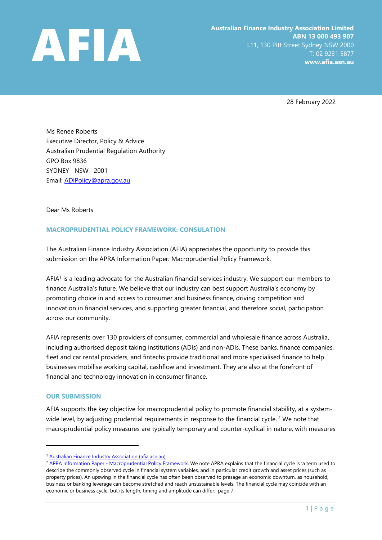

28 February 2022

Ms Renee Roberts Executive Director, Policy & Advice Australian Prudential Regulation Authority GPO Box 9836 SYDNEY NSW 2001 Email: [ADIPolicy@apra.gov.au](mailto:ADIPolicy@apra.gov.au)

Dear Ms Roberts

## **MACROPRUDENTIAL POLICY FRAMEWORK: CONSULATION**

The Australian Finance Industry Association (AFIA) appreciates the opportunity to provide this submission on the APRA Information Paper: Macroprudential Policy Framework.

AFIA<sup>1</sup> is a leading advocate for the Australian financial services industry. We support our members to finance Australia's future. We believe that our industry can best support Australia's economy by promoting choice in and access to consumer and business finance, driving competition and innovation in financial services, and supporting greater financial, and therefore social, participation across our community.

AFIA represents over 130 providers of consumer, commercial and wholesale finance across Australia, including authorised deposit taking institutions (ADIs) and non-ADIs. These banks, finance companies, fleet and car rental providers, and fintechs provide traditional and more specialised finance to help businesses mobilise working capital, cashflow and investment. They are also at the forefront of financial and technology innovation in consumer finance.

#### **OUR SUBMISSION**

AFIA supports the key objective for macroprudential policy to promote financial stability, at a systemwide level, by adjusting prudential requirements in response to the financial cycle.<sup>2</sup> We note that macroprudential policy measures are typically temporary and counter-cyclical in nature, with measures

<sup>1</sup> [Australian Finance Industry Association \(afia.asn.au\)](https://afia.asn.au/)

<sup>&</sup>lt;sup>2</sup> APRA Information Paper - [Macroprudential Policy Framework.](https://www.apra.gov.au/sites/default/files/2021-11/Macroprudential%20Policy%20Framework.pdf) We note APRA explains that the financial cycle is 'a term used to describe the commonly observed cycle in financial system variables, and in particular credit growth and asset prices (such as property prices). An upswing in the financial cycle has often been observed to presage an economic downturn, as household, business or banking leverage can become stretched and reach unsustainable levels. The financial cycle may coincide with an economic or business cycle, but its length, timing and amplitude can differ.' page 7.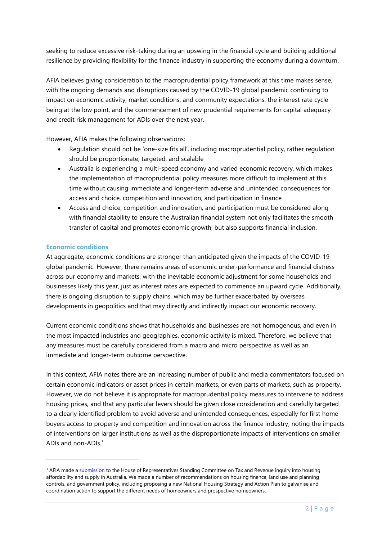seeking to reduce excessive risk-taking during an upswing in the financial cycle and building additional resilience by providing flexibility for the finance industry in supporting the economy during a downturn.

AFIA believes giving consideration to the macroprudential policy framework at this time makes sense, with the ongoing demands and disruptions caused by the COVID-19 global pandemic continuing to impact on economic activity, market conditions, and community expectations, the interest rate cycle being at the low point, and the commencement of new prudential requirements for capital adequacy and credit risk management for ADIs over the next year.

However, AFIA makes the following observations:

- Regulation should not be 'one-size fits all', including macroprudential policy, rather regulation should be proportionate, targeted, and scalable
- Australia is experiencing a multi-speed economy and varied economic recovery, which makes the implementation of macroprudential policy measures more difficult to implement at this time without causing immediate and longer-term adverse and unintended consequences for access and choice, competition and innovation, and participation in finance
- Access and choice, competition and innovation, and participation must be considered along with financial stability to ensure the Australian financial system not only facilitates the smooth transfer of capital and promotes economic growth, but also supports financial inclusion.

### **Economic conditions**

At aggregate, economic conditions are stronger than anticipated given the impacts of the COVID-19 global pandemic. However, there remains areas of economic under-performance and financial distress across our economy and markets, with the inevitable economic adjustment for some households and businesses likely this year, just as interest rates are expected to commence an upward cycle. Additionally, there is ongoing disruption to supply chains, which may be further exacerbated by overseas developments in geopolitics and that may directly and indirectly impact our economic recovery.

Current economic conditions shows that households and businesses are not homogenous, and even in the most impacted industries and geographies, economic activity is mixed. Therefore, we believe that any measures must be carefully considered from a macro and micro perspective as well as an immediate and longer-term outcome perspective.

In this context, AFIA notes there are an increasing number of public and media commentators focused on certain economic indicators or asset prices in certain markets, or even parts of markets, such as property. However, we do not believe it is appropriate for macroprudential policy measures to intervene to address housing prices, and that any particular levers should be given close consideration and carefully targeted to a clearly identified problem to avoid adverse and unintended consequences, especially for first home buyers access to property and competition and innovation across the finance industry, noting the impacts of interventions on larger institutions as well as the disproportionate impacts of interventions on smaller ADIs and non-ADIs.<sup>3</sup>

<sup>&</sup>lt;sup>3</sup> AFIA made [a submission](https://afia.asn.au/post/Contribution-of-Tax-and-Regulation-on-Housing-Affordability-and-Supply) to the House of Representatives Standing Committee on Tax and Revenue inquiry into housing affordability and supply in Australia. We made a number of recommendations on housing finance, land use and planning controls, and government policy, including proposing a new National Housing Strategy and Action Plan to galvanise and coordination action to support the different needs of homeowners and prospective homeowners.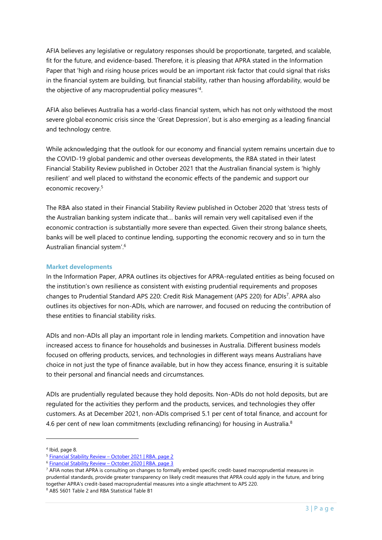AFIA believes any legislative or regulatory responses should be proportionate, targeted, and scalable, fit for the future, and evidence-based. Therefore, it is pleasing that APRA stated in the Information Paper that 'high and rising house prices would be an important risk factor that could signal that risks in the financial system are building, but financial stability, rather than housing affordability, would be the objective of any macroprudential policy measures' 4 .

AFIA also believes Australia has a world-class financial system, which has not only withstood the most severe global economic crisis since the 'Great Depression', but is also emerging as a leading financial and technology centre.

While acknowledging that the outlook for our economy and financial system remains uncertain due to the COVID-19 global pandemic and other overseas developments, the RBA stated in their latest Financial Stability Review published in October 2021 that the Australian financial system is 'highly resilient' and well placed to withstand the economic effects of the pandemic and support our economic recovery. 5

The RBA also stated in their Financial Stability Review published in October 2020 that 'stress tests of the Australian banking system indicate that… banks will remain very well capitalised even if the economic contraction is substantially more severe than expected. Given their strong balance sheets, banks will be well placed to continue lending, supporting the economic recovery and so in turn the Australian financial system'. 6

### **Market developments**

In the Information Paper, APRA outlines its objectives for APRA-regulated entities as being focused on the institution's own resilience as consistent with existing prudential requirements and proposes changes to Prudential Standard APS 220: Credit Risk Management (APS 220) for ADIs<sup>7</sup>. APRA also outlines its objectives for non-ADIs, which are narrower, and focused on reducing the contribution of these entities to financial stability risks.

ADIs and non-ADIs all play an important role in lending markets. Competition and innovation have increased access to finance for households and businesses in Australia. Different business models focused on offering products, services, and technologies in different ways means Australians have choice in not just the type of finance available, but in how they access finance, ensuring it is suitable to their personal and financial needs and circumstances.

ADIs are prudentially regulated because they hold deposits. Non-ADIs do not hold deposits, but are regulated for the activities they perform and the products, services, and technologies they offer customers. As at December 2021, non-ADIs comprised 5.1 per cent of total finance, and account for 4.6 per cent of new loan commitments (excluding refinancing) for housing in Australia.<sup>8</sup>

4 Ibid, page 8.

<sup>&</sup>lt;sup>5</sup> [Financial Stability Review](https://www.rba.gov.au/publications/fsr/2021/oct/pdf/financial-stability-review-2021-10.pdf) - October 2021 | RBA. page 2

<sup>&</sup>lt;sup>6</sup> [Financial Stability Review](https://www.rba.gov.au/publications/fsr/2020/oct/pdf/financial-stability-review-2020-10.pdf) - October 2020 | RBA. page 3

 $7$  AFIA notes that APRA is consulting on changes to formally embed specific credit-based macroprudential measures in prudential standards, provide greater transparency on likely credit measures that APRA could apply in the future, and bring together APRA's credit-based macroprudential measures into a single attachment to APS 220.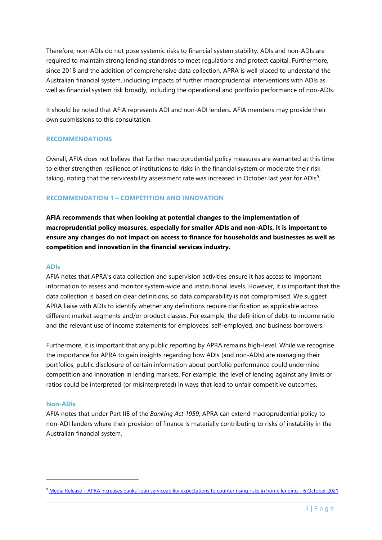Therefore, non-ADIs do not pose systemic risks to financial system stability. ADIs and non-ADIs are required to maintain strong lending standards to meet regulations and protect capital. Furthermore, since 2018 and the addition of comprehensive data collection, APRA is well placed to understand the Australian financial system, including impacts of further macroprudential interventions with ADIs as well as financial system risk broadly, including the operational and portfolio performance of non-ADIs.

It should be noted that AFIA represents ADI and non-ADI lenders. AFIA members may provide their own submissions to this consultation.

### **RECOMMENDATIONS**

Overall, AFIA does not believe that further macroprudential policy measures are warranted at this time to either strengthen resilience of institutions to risks in the financial system or moderate their risk taking, noting that the serviceability assessment rate was increased in October last year for ADIs<sup>9</sup>.

### **RECOMMENDATION 1 – COMPETITION AND INNOVATION**

**AFIA recommends that when looking at potential changes to the implementation of macroprudential policy measures, especially for smaller ADIs and non-ADIs, it is important to ensure any changes do not impact on access to finance for households and businesses as well as competition and innovation in the financial services industry.**

#### **ADIs**

AFIA notes that APRA's data collection and supervision activities ensure it has access to important information to assess and monitor system-wide and institutional levels. However, it is important that the data collection is based on clear definitions, so data comparability is not compromised. We suggest APRA liaise with ADIs to identify whether any definitions require clarification as applicable across different market segments and/or product classes. For example, the definition of debt-to-income ratio and the relevant use of income statements for employees, self-employed, and business borrowers.

Furthermore, it is important that any public reporting by APRA remains high-level. While we recognise the importance for APRA to gain insights regarding how ADIs (and non-ADIs) are managing their portfolios, public disclosure of certain information about portfolio performance could undermine competition and innovation in lending markets. For example, the level of lending against any limits or ratios could be interpreted (or misinterpreted) in ways that lead to unfair competitive outcomes.

#### **Non-ADIs**

AFIA notes that under Part IIB of the *Banking Act 1959*, APRA can extend macroprudential policy to non-ADI lenders where their provision of finance is materially contributing to risks of instability in the Australian financial system.

<sup>9</sup> Media Release – [APRA increases banks' loan serviceability expectations to counter rising risks in home lending –](https://www.apra.gov.au/news-and-publications/apra-increases-banks%E2%80%99-loan-serviceability-expectations-to-counter-rising) 6 October 2021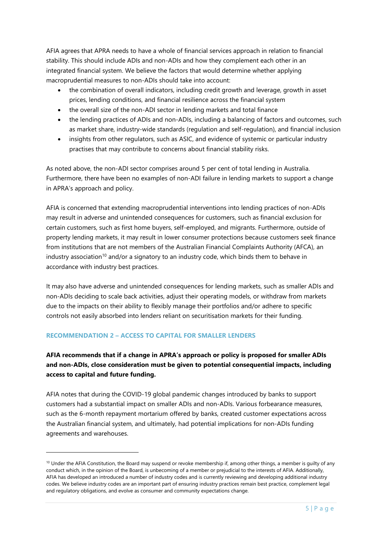AFIA agrees that APRA needs to have a whole of financial services approach in relation to financial stability. This should include ADIs and non-ADIs and how they complement each other in an integrated financial system. We believe the factors that would determine whether applying macroprudential measures to non-ADIs should take into account:

- the combination of overall indicators, including credit growth and leverage, growth in asset prices, lending conditions, and financial resilience across the financial system
- the overall size of the non-ADI sector in lending markets and total finance
- the lending practices of ADIs and non-ADIs, including a balancing of factors and outcomes, such as market share, industry-wide standards (regulation and self-regulation), and financial inclusion
- insights from other regulators, such as ASIC, and evidence of systemic or particular industry practises that may contribute to concerns about financial stability risks.

As noted above, the non-ADI sector comprises around 5 per cent of total lending in Australia. Furthermore, there have been no examples of non-ADI failure in lending markets to support a change in APRA's approach and policy.

AFIA is concerned that extending macroprudential interventions into lending practices of non-ADIs may result in adverse and unintended consequences for customers, such as financial exclusion for certain customers, such as first home buyers, self-employed, and migrants. Furthermore, outside of property lending markets, it may result in lower consumer protections because customers seek finance from institutions that are not members of the Australian Financial Complaints Authority (AFCA), an industry association<sup>10</sup> and/or a signatory to an industry code, which binds them to behave in accordance with industry best practices.

It may also have adverse and unintended consequences for lending markets, such as smaller ADIs and non-ADIs deciding to scale back activities, adjust their operating models, or withdraw from markets due to the impacts on their ability to flexibly manage their portfolios and/or adhere to specific controls not easily absorbed into lenders reliant on securitisation markets for their funding.

## **RECOMMENDATION 2 – ACCESS TO CAPITAL FOR SMALLER LENDERS**

# **AFIA recommends that if a change in APRA's approach or policy is proposed for smaller ADIs and non-ADIs, close consideration must be given to potential consequential impacts, including access to capital and future funding.**

AFIA notes that during the COVID-19 global pandemic changes introduced by banks to support customers had a substantial impact on smaller ADIs and non-ADIs. Various forbearance measures, such as the 6-month repayment mortarium offered by banks, created customer expectations across the Australian financial system, and ultimately, had potential implications for non-ADIs funding agreements and warehouses.

 $10$  Under the AFIA Constitution, the Board may suspend or revoke membership if, among other things, a member is guilty of any conduct which, in the opinion of the Board, is unbecoming of a member or prejudicial to the interests of AFIA. Additionally, AFIA has developed an introduced a number of industry codes and is currently reviewing and developing additional industry codes. We believe industry codes are an important part of ensuring industry practices remain best practice, complement legal and regulatory obligations, and evolve as consumer and community expectations change.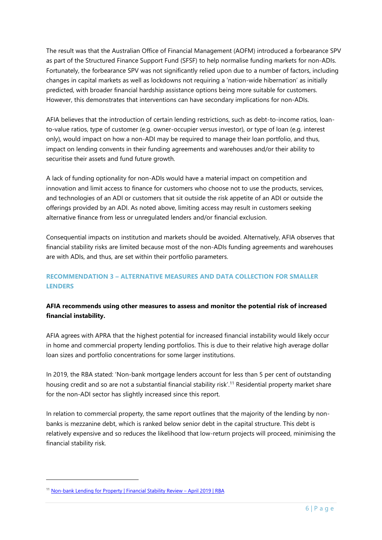The result was that the Australian Office of Financial Management (AOFM) introduced a forbearance SPV as part of the Structured Finance Support Fund (SFSF) to help normalise funding markets for non-ADIs. Fortunately, the forbearance SPV was not significantly relied upon due to a number of factors, including changes in capital markets as well as lockdowns not requiring a 'nation-wide hibernation' as initially predicted, with broader financial hardship assistance options being more suitable for customers. However, this demonstrates that interventions can have secondary implications for non-ADIs.

AFIA believes that the introduction of certain lending restrictions, such as debt-to-income ratios, loanto-value ratios, type of customer (e.g. owner-occupier versus investor), or type of loan (e.g. interest only), would impact on how a non-ADI may be required to manage their loan portfolio, and thus, impact on lending convents in their funding agreements and warehouses and/or their ability to securitise their assets and fund future growth.

A lack of funding optionality for non-ADIs would have a material impact on competition and innovation and limit access to finance for customers who choose not to use the products, services, and technologies of an ADI or customers that sit outside the risk appetite of an ADI or outside the offerings provided by an ADI. As noted above, limiting access may result in customers seeking alternative finance from less or unregulated lenders and/or financial exclusion.

Consequential impacts on institution and markets should be avoided. Alternatively, AFIA observes that financial stability risks are limited because most of the non-ADIs funding agreements and warehouses are with ADIs, and thus, are set within their portfolio parameters.

# **RECOMMENDATION 3 – ALTERNATIVE MEASURES AND DATA COLLECTION FOR SMALLER LENDERS**

# **AFIA recommends using other measures to assess and monitor the potential risk of increased financial instability.**

AFIA agrees with APRA that the highest potential for increased financial instability would likely occur in home and commercial property lending portfolios. This is due to their relative high average dollar loan sizes and portfolio concentrations for some larger institutions.

In 2019, the RBA stated: 'Non-bank mortgage lenders account for less than 5 per cent of outstanding housing credit and so are not a substantial financial stability risk'.<sup>11</sup> Residential property market share for the non-ADI sector has slightly increased since this report.

In relation to commercial property, the same report outlines that the majority of the lending by nonbanks is mezzanine debt, which is ranked below senior debt in the capital structure. This debt is relatively expensive and so reduces the likelihood that low-return projects will proceed, minimising the financial stability risk.

<sup>11</sup> [Non-bank Lending for Property | Financial Stability Review](https://www.rba.gov.au/publications/fsr/2019/apr/box-d.html) – April 2019 | RBA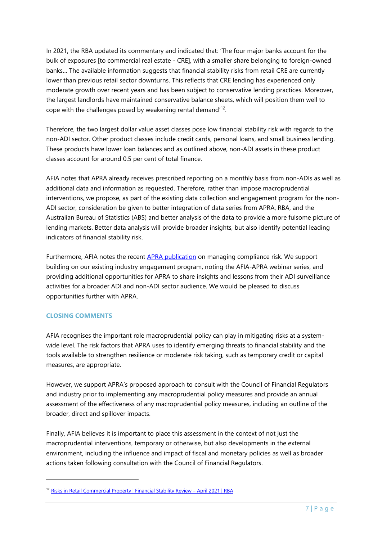In 2021, the RBA updated its commentary and indicated that: 'The four major banks account for the bulk of exposures [to commercial real estate - CRE], with a smaller share belonging to foreign-owned banks… The available information suggests that financial stability risks from retail CRE are currently lower than previous retail sector downturns. This reflects that CRE lending has experienced only moderate growth over recent years and has been subject to conservative lending practices. Moreover, the largest landlords have maintained conservative balance sheets, which will position them well to cope with the challenges posed by weakening rental demand<sup>'12</sup>.

Therefore, the two largest dollar value asset classes pose low financial stability risk with regards to the non-ADI sector. Other product classes include credit cards, personal loans, and small business lending. These products have lower loan balances and as outlined above, non-ADI assets in these product classes account for around 0.5 per cent of total finance.

AFIA notes that APRA already receives prescribed reporting on a monthly basis from non-ADIs as well as additional data and information as requested. Therefore, rather than impose macroprudential interventions, we propose, as part of the existing data collection and engagement program for the non-ADI sector, consideration be given to better integration of data series from APRA, RBA, and the Australian Bureau of Statistics (ABS) and better analysis of the data to provide a more fulsome picture of lending markets. Better data analysis will provide broader insights, but also identify potential leading indicators of financial stability risk.

Furthermore, AFIA notes the recent [APRA publication](https://www.apra.gov.au/news-and-publications/how-to-manage-compliance-risk-and-stay-out-of-headlines) on managing compliance risk. We support building on our existing industry engagement program, noting the AFIA-APRA webinar series, and providing additional opportunities for APRA to share insights and lessons from their ADI surveillance activities for a broader ADI and non-ADI sector audience. We would be pleased to discuss opportunities further with APRA.

## **CLOSING COMMENTS**

AFIA recognises the important role macroprudential policy can play in mitigating risks at a systemwide level. The risk factors that APRA uses to identify emerging threats to financial stability and the tools available to strengthen resilience or moderate risk taking, such as temporary credit or capital measures, are appropriate.

However, we support APRA's proposed approach to consult with the Council of Financial Regulators and industry prior to implementing any macroprudential policy measures and provide an annual assessment of the effectiveness of any macroprudential policy measures, including an outline of the broader, direct and spillover impacts.

Finally, AFIA believes it is important to place this assessment in the context of not just the macroprudential interventions, temporary or otherwise, but also developments in the external environment, including the influence and impact of fiscal and monetary policies as well as broader actions taken following consultation with the Council of Financial Regulators.

<sup>12</sup> [Risks in Retail Commercial Property | Financial Stability Review](https://www.rba.gov.au/publications/fsr/2021/apr/box-b-risks-in-retail-commercial-property.html) – April 2021 | RBA